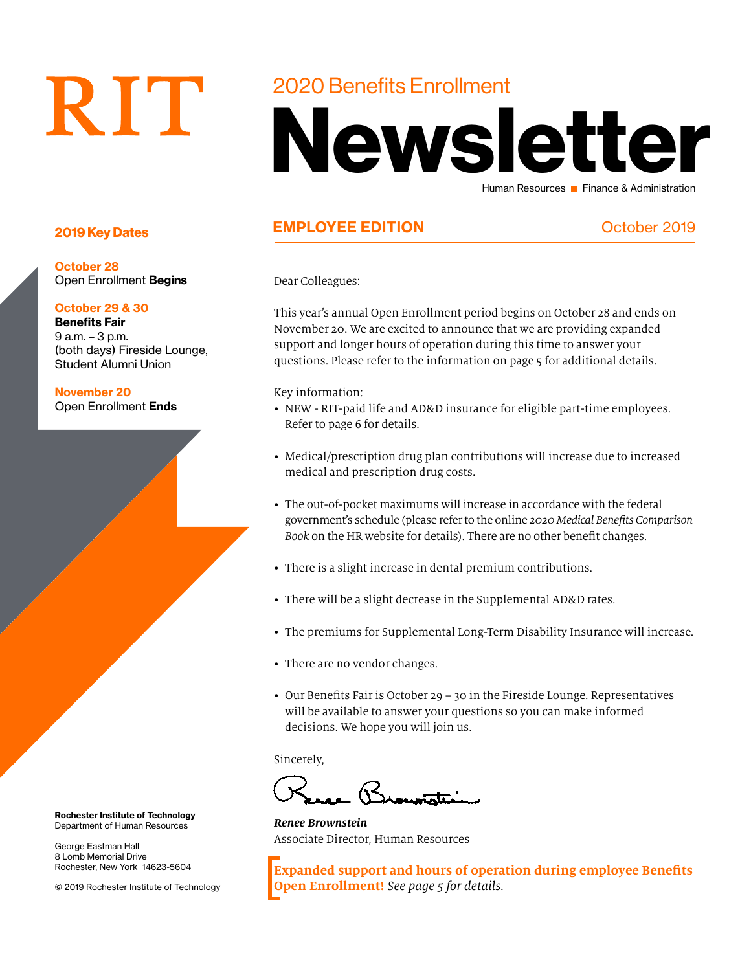# RIT

#### 2020 Benefits Enrollment

## Newsletter Human Resources **Finance & Administration**

#### 2019 Key Dates **EMPLOYEE EDITION** Cotober 2019

Dear Colleagues:

This year's annual Open Enrollment period begins on October 28 and ends on November 20. We are excited to announce that we are providing expanded support and longer hours of operation during this time to answer your questions. Please refer to the information on page 5 for additional details.

Key information:

- NEW RIT-paid life and AD&D insurance for eligible part-time employees. Refer to page 6 for details.
- Medical/prescription drug plan contributions will increase due to increased medical and prescription drug costs.
- The out-of-pocket maximums will increase in accordance with the federal government's schedule (please refer to the online *2020 Medical Benefits Comparison Book* on the HR website for details). There are no other benefit changes.
- There is a slight increase in dental premium contributions.
- There will be a slight decrease in the Supplemental AD&D rates.
- The premiums for Supplemental Long-Term Disability Insurance will increase.
- There are no vendor changes.
- Our Benefits Fair is October 29 30 in the Fireside Lounge. Representatives will be available to answer your questions so you can make informed decisions. We hope you will join us.

Sincerely,

 $\overline{\mathcal{B}}$ 

*Renee Brownstein* Associate Director, Human Resources

**Expanded support and hours of operation during employee Benefits Open Enrollment!** *See page 5 for details.*

October 28 Open Enrollment Begins

#### October 29 & 30

Benefits Fair 9 a.m. – 3 p.m. (both days) Fireside Lounge, Student Alumni Union

November 20 Open Enrollment Ends

Rochester Institute of Technology Department of Human Resources

George Eastman Hall 8 Lomb Memorial Drive Rochester, New York 14623-5604

© 2019 Rochester Institute of Technology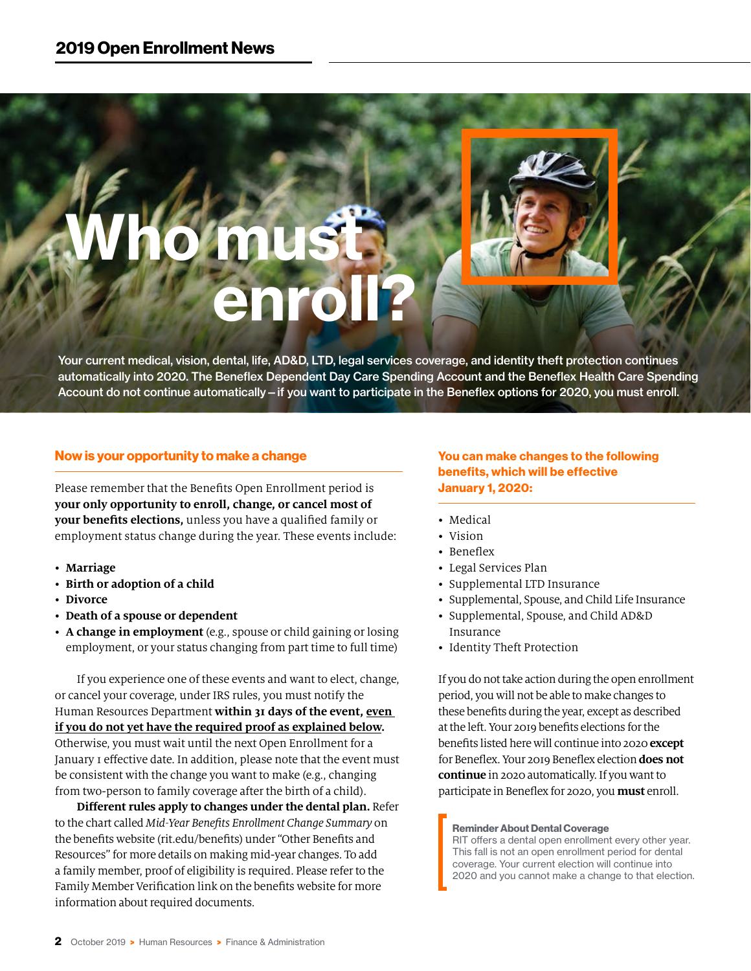# Who must **Enroll?**

Your current medical, vision, dental, life, AD&D, LTD, legal services coverage, and identity theft protection continues automatically into 2020. The Beneflex Dependent Day Care Spending Account and the Beneflex Health Care Spending Account do not continue automatically—if you want to participate in the Beneflex options for 2020, you must enroll.

#### Now is your opportunity to make a change

Please remember that the Benefits Open Enrollment period is **your only opportunity to enroll, change, or cancel most of your benefits elections,** unless you have a qualified family or employment status change during the year. These events include:

- **Marriage**
- **Birth or adoption of a child**
- **Divorce**
- **Death of a spouse or dependent**
- **A change in employment** (e.g., spouse or child gaining or losing employment, or your status changing from part time to full time)

If you experience one of these events and want to elect, change, or cancel your coverage, under IRS rules, you must notify the Human Resources Department **within 31 days of the event, even if you do not yet have the required proof as explained below.** Otherwise, you must wait until the next Open Enrollment for a January 1 effective date. In addition, please note that the event must be consistent with the change you want to make (e.g., changing from two-person to family coverage after the birth of a child).

**Different rules apply to changes under the dental plan.** Refer to the chart called *Mid-Year Benefits Enrollment Change Summary* on the benefits website (rit.edu/benefits) under "Other Benefits and Resources" for more details on making mid-year changes. To add a family member, proof of eligibility is required. Please refer to the Family Member Verification link on the benefits website for more information about required documents.

You can make changes to the following benefits, which will be effective January 1, 2020:

- Medical
- Vision
- Beneflex
- Legal Services Plan
- Supplemental LTD Insurance
- Supplemental, Spouse, and Child Life Insurance
- Supplemental, Spouse, and Child AD&D Insurance
- Identity Theft Protection

If you do not take action during the open enrollment period, you will not be able to make changes to these benefits during the year, except as described at the left. Your 2019 benefits elections for the benefits listed here will continue into 2020 **except** for Beneflex. Your 2019 Beneflex election **does not continue** in 2020 automatically. If you want to participate in Beneflex for 2020, you **must** enroll.

#### Reminder About Dental Coverage

RIT offers a dental open enrollment every other year. This fall is not an open enrollment period for dental coverage. Your current election will continue into 2020 and you cannot make a change to that election.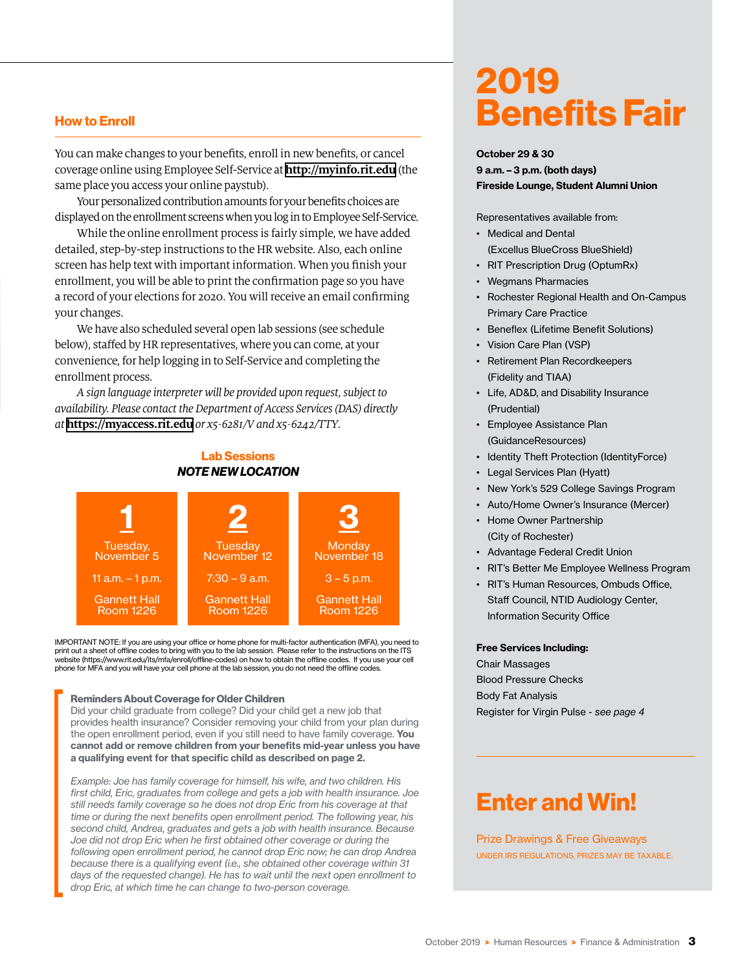#### How to Enroll

You can make changes to your benefits, enroll in new benefits, or cancel coverage online using Employee Self-Service at **http://myinfo.rit.edu** (the same place you access your online paystub).

Your personalized contribution amounts for your benefits choices are displayed on the enrollment screens when you log in to Employee Self-Service.

While the online enrollment process is fairly simple, we have added detailed, step-by-step instructions to the HR website. Also, each online screen has help text with important information. When you finish your enrollment, you will be able to print the confirmation page so you have a record of your elections for 2020. You will receive an email confirming your changes.

We have also scheduled several open lab sessions (see schedule below), staffed by HR representatives, where you can come, at your convenience, for help logging in to Self-Service and completing the enrollment process.

*A sign language interpreter will be provided upon request, subject to availability. Please contact the Department of Access Services (DAS) directly at* **https://myaccess.rit.edu** *or x5-6281/V and x5-6242/TTY.* 

#### Lab Sessions *NOTE NEW LOCATION*



IMPORTANT NOTE: If you are using your office or home phone for multi-factor authentication (MFA), you need to print out a sheet of offline codes to bring with you to the lab session. Please refer to the instructions on the ITS website ([https://www.rit.edu/its/mfa/enroll/offline-codes\)](https://www.rit.edu/its/mfa/enroll/offline-codes) on how to obtain the offline codes. If you use your cell phone for MFA and you will have your cell phone at the lab session, you do not need the offline codes.

#### Reminders About Coverage for Older Children

Did your child graduate from college? Did your child get a new job that provides health insurance? Consider removing your child from your plan during the open enrollment period, even if you still need to have family coverage. You cannot add or remove children from your benefits mid-year unless you have a qualifying event for that specific child as described on page 2.

*Example: Joe has family coverage for himself, his wife, and two children. His first child, Eric, graduates from college and gets a job with health insurance. Joe still needs family coverage so he does not drop Eric from his coverage at that time or during the next benefits open enrollment period. The following year, his second child, Andrea, graduates and gets a job with health insurance. Because*  Joe did not drop Eric when he first obtained other coverage or during the *following open enrollment period, he cannot drop Eric now; he can drop Andrea because there is a qualifying event (i.e., she obtained other coverage within 31 days of the requested change). He has to wait until the next open enrollment to drop Eric, at which time he can change to two-person coverage.*

## 2019 Benefits Fair

#### October 29 & 30

9 a.m. – 3 p.m. (both days) Fireside Lounge, Student Alumni Union

Representatives available from:

- Medical and Dental (Excellus BlueCross BlueShield)
- RIT Prescription Drug (OptumRx)
- Wegmans Pharmacies
- Rochester Regional Health and On-Campus Primary Care Practice
- Beneflex (Lifetime Benefit Solutions)
- Vision Care Plan (VSP)
- Retirement Plan Recordkeepers (Fidelity and TIAA)
- Life, AD&D, and Disability Insurance (Prudential)
- Employee Assistance Plan (GuidanceResources)
- Identity Theft Protection (IdentityForce)
- Legal Services Plan (Hyatt)
- New York's 529 College Savings Program
- Auto/Home Owner's Insurance (Mercer)
- Home Owner Partnership (City of Rochester)
- Advantage Federal Credit Union
- RIT's Better Me Employee Wellness Program
- RIT's Human Resources, Ombuds Office, Staff Council, NTID Audiology Center, Information Security Office

#### Free Services Including:

Chair Massages Blood Pressure Checks Body Fat Analysis Register for Virgin Pulse - *see page 4*

### Enter and Win!

Prize Drawings & Free Giveaways UNDER IRS REGULATIONS, PRIZES MAY BE TAXABLE.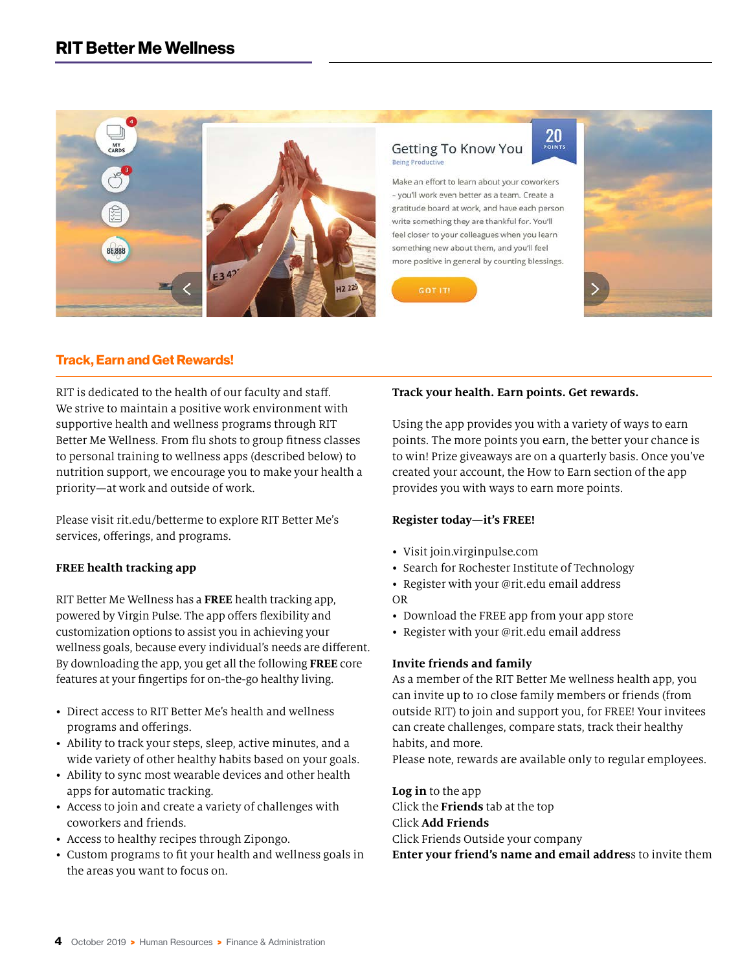

#### Getting To Know You **Being Productive**

Make an effort to learn about your coworkers - you'll work even better as a team. Create a gratitude board at work, and have each person write something they are thankful for. You'll feel closer to your colleagues when you learn something new about them, and you'll feel more positive in general by counting blessings.





#### Track, Earn and Get Rewards!

RIT is dedicated to the health of our faculty and staff. We strive to maintain a positive work environment with supportive health and wellness programs through RIT Better Me Wellness. From flu shots to group fitness classes to personal training to wellness apps (described below) to nutrition support, we encourage you to make your health a priority—at work and outside of work.

Please visit rit.edu/betterme to explore RIT Better Me's services, offerings, and programs.

#### **FREE health tracking app**

RIT Better Me Wellness has a **FREE** health tracking app, powered by Virgin Pulse. The app offers flexibility and customization options to assist you in achieving your wellness goals, because every individual's needs are different. By downloading the app, you get all the following **FREE** core features at your fingertips for on-the-go healthy living.

- Direct access to RIT Better Me's health and wellness programs and offerings.
- Ability to track your steps, sleep, active minutes, and a wide variety of other healthy habits based on your goals.
- Ability to sync most wearable devices and other health apps for automatic tracking.
- Access to join and create a variety of challenges with coworkers and friends.
- Access to healthy recipes through Zipongo.
- Custom programs to fit your health and wellness goals in the areas you want to focus on.

#### **Track your health. Earn points. Get rewards.**

Using the app provides you with a variety of ways to earn points. The more points you earn, the better your chance is to win! Prize giveaways are on a quarterly basis. Once you've created your account, the How to Earn section of the app provides you with ways to earn more points.

 $20<sub>point</sub>$ 

#### **Register today—it's FREE!**

- Visit join.virginpulse.com
- Search for Rochester Institute of Technology
- Register with your @rit.edu email address OR
- Download the FREE app from your app store
- Register with your @rit.edu email address

#### **Invite friends and family**

As a member of the RIT Better Me wellness health app, you can invite up to 10 close family members or friends (from outside RIT) to join and support you, for FREE! Your invitees can create challenges, compare stats, track their healthy habits, and more.

Please note, rewards are available only to regular employees.

**Log in** to the app Click the **Friends** tab at the top Click **Add Friends** Click Friends Outside your company **Enter your friend's name and email addres**s to invite them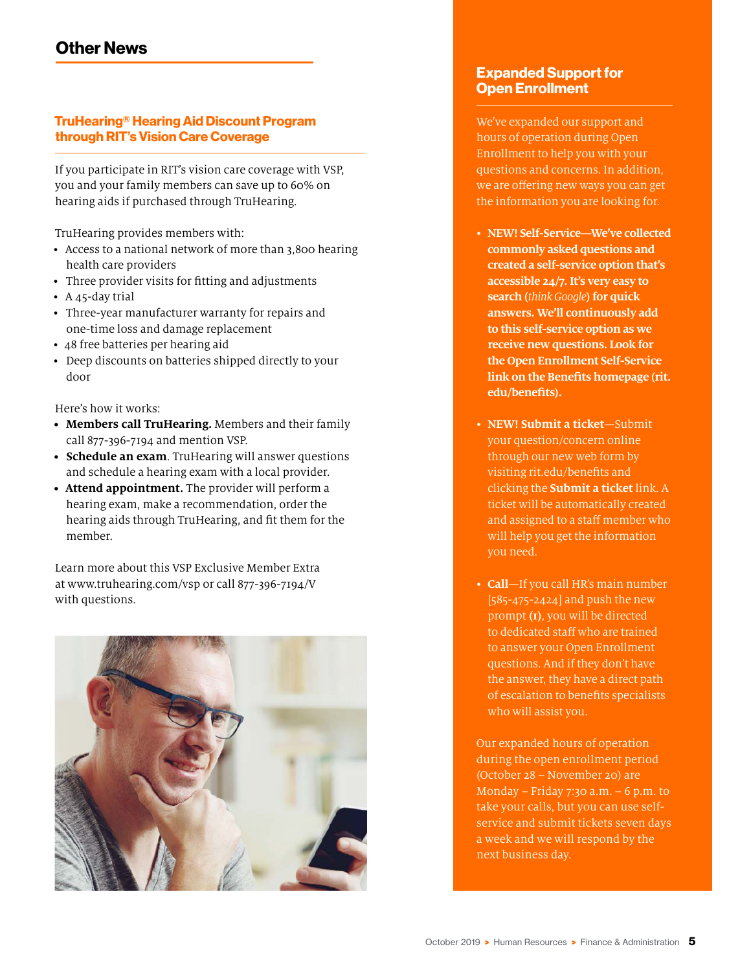#### TruHearing® Hearing Aid Discount Program through RIT's Vision Care Coverage

If you participate in RIT's vision care coverage with VSP, you and your family members can save up to 60% on hearing aids if purchased through TruHearing.

TruHearing provides members with:

- Access to a national network of more than 3,800 hearing health care providers
- Three provider visits for fitting and adjustments
- A 45-day trial
- Three-year manufacturer warranty for repairs and one-time loss and damage replacement
- 48 free batteries per hearing aid
- Deep discounts on batteries shipped directly to your door

Here's how it works:

- **• Members call TruHearing.** Members and their family call 877-396-7194 and mention VSP.
- **• Schedule an exam**. TruHearing will answer questions and schedule a hearing exam with a local provider.
- **• Attend appointment.** The provider will perform a hearing exam, make a recommendation, order the hearing aids through TruHearing, and fit them for the member.

Learn more about this VSP Exclusive Member Extra at www.truhearing.com/vsp or call 877-396-7194/V with questions.



#### Expanded Support for Open Enrollment

We've expanded our support and hours of operation during Open Enrollment to help you with your questions and concerns. In addition, we are offering new ways you can get the information you are looking for.

- **NEW! Self-Service—We've collected commonly asked questions and created a self-service option that's accessible 24/7. It's very easy to search (***think Google***) for quick answers. We'll continuously add to this self-service option as we receive new questions. Look for the Open Enrollment Self-Service link on the Benefits homepage (rit. edu/benefits).**
- **NEW! Submit a ticket**—Submit your question/concern online through our new web form by visiting rit.edu/benefits and clicking the **Submit a ticket** link. A ticket will be automatically created and assigned to a staff member who will help you get the information you need.
- **Call**—If you call HR's main number [585-475-2424] and push the new prompt **(1)**, you will be directed to dedicated staff who are trained to answer your Open Enrollment questions. And if they don't have the answer, they have a direct path of escalation to benefits specialists who will assist you.

Our expanded hours of operation during the open enrollment period (October 28 – November 20) are Monday – Friday  $7:30$  a.m. – 6 p.m. to take your calls, but you can use selfservice and submit tickets seven days a week and we will respond by the next business day.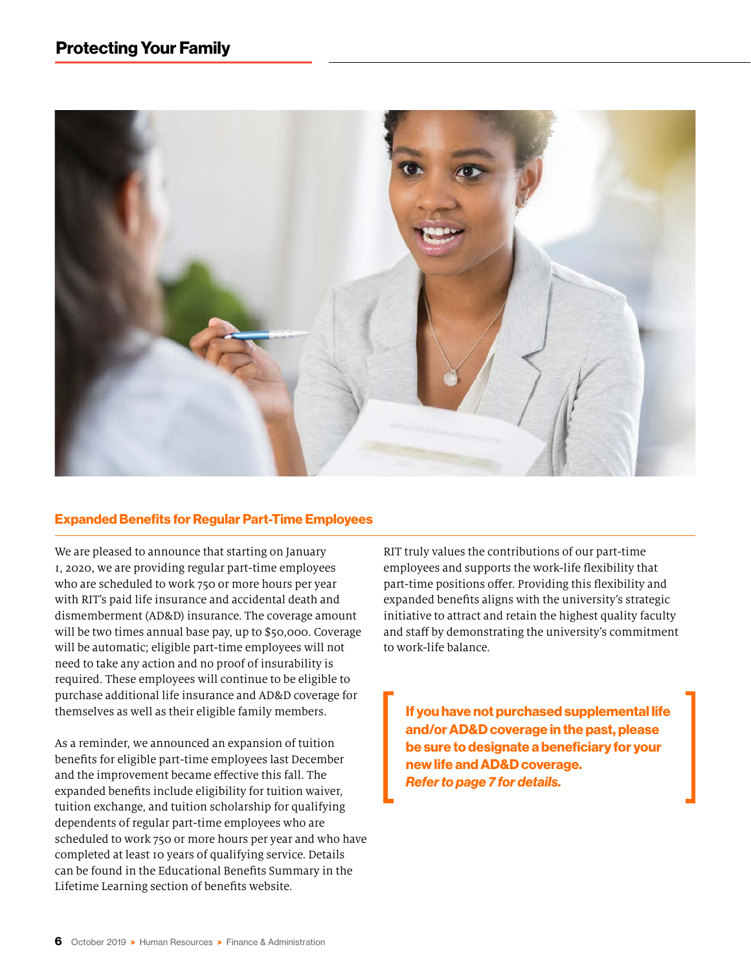

#### Expanded Benefits for Regular Part-Time Employees

We are pleased to announce that starting on January 1, 2020, we are providing regular part-time employees who are scheduled to work 750 or more hours per year with RIT's paid life insurance and accidental death and dismemberment (AD&D) insurance. The coverage amount will be two times annual base pay, up to \$50,000. Coverage will be automatic; eligible part-time employees will not need to take any action and no proof of insurability is required. These employees will continue to be eligible to purchase additional life insurance and AD&D coverage for themselves as well as their eligible family members.

As a reminder, we announced an expansion of tuition benefits for eligible part-time employees last December and the improvement became effective this fall. The expanded benefits include eligibility for tuition waiver, tuition exchange, and tuition scholarship for qualifying dependents of regular part-time employees who are scheduled to work 750 or more hours per year and who have completed at least 10 years of qualifying service. Details can be found in the Educational Benefits Summary in the Lifetime Learning section of benefits website.

RIT truly values the contributions of our part-time employees and supports the work-life flexibility that part-time positions offer. Providing this flexibility and expanded benefits aligns with the university's strategic initiative to attract and retain the highest quality faculty and staff by demonstrating the university's commitment to work-life balance.

If you have not purchased supplemental life and/or AD&D coverage in the past, please be sure to designate a beneficiary for your new life and AD&D coverage. *Refer to page 7 for details.*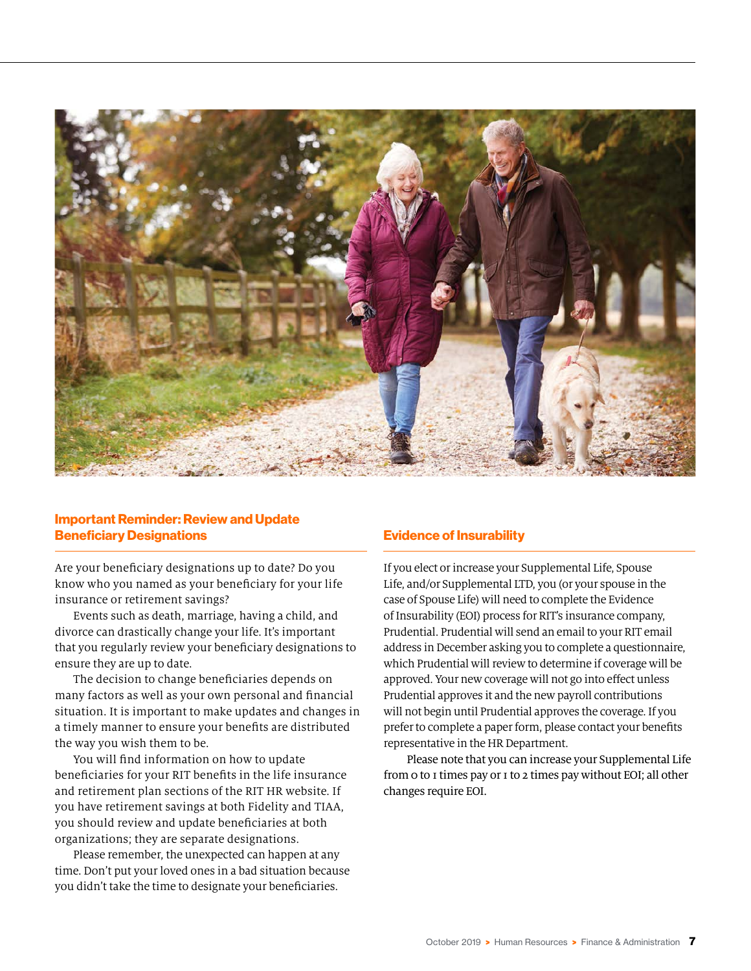

#### Important Reminder: Review and Update Beneficiary Designations

Are your beneficiary designations up to date? Do you know who you named as your beneficiary for your life insurance or retirement savings?

Events such as death, marriage, having a child, and divorce can drastically change your life. It's important that you regularly review your beneficiary designations to ensure they are up to date.

The decision to change beneficiaries depends on many factors as well as your own personal and financial situation. It is important to make updates and changes in a timely manner to ensure your benefits are distributed the way you wish them to be.

You will find information on how to update beneficiaries for your RIT benefits in the life insurance and retirement plan sections of the RIT HR website. If you have retirement savings at both Fidelity and TIAA, you should review and update beneficiaries at both organizations; they are separate designations.

Please remember, the unexpected can happen at any time. Don't put your loved ones in a bad situation because you didn't take the time to designate your beneficiaries.

#### Evidence of Insurability

If you elect or increase your Supplemental Life, Spouse Life, and/or Supplemental LTD, you (or your spouse in the case of Spouse Life) will need to complete the Evidence of Insurability (EOI) process for RIT's insurance company, Prudential. Prudential will send an email to your RIT email address in December asking you to complete a questionnaire, which Prudential will review to determine if coverage will be approved. Your new coverage will not go into effect unless Prudential approves it and the new payroll contributions will not begin until Prudential approves the coverage. If you prefer to complete a paper form, please contact your benefits representative in the HR Department.

Please note that you can increase your Supplemental Life from 0 to 1 times pay or 1 to 2 times pay without EOI; all other changes require EOI.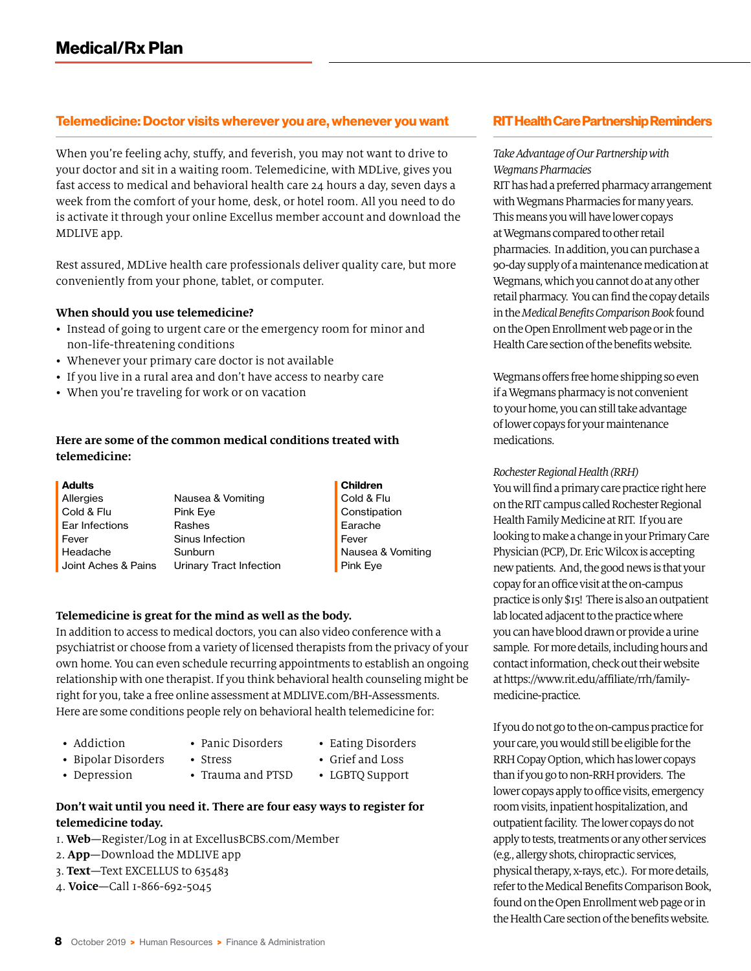#### Telemedicine: Doctor visits wherever you are, whenever you want

When you're feeling achy, stuffy, and feverish, you may not want to drive to your doctor and sit in a waiting room. Telemedicine, with MDLive, gives you fast access to medical and behavioral health care 24 hours a day, seven days a week from the comfort of your home, desk, or hotel room. All you need to do is activate it through your online Excellus member account and download the MDLIVE app.

Rest assured, MDLive health care professionals deliver quality care, but more conveniently from your phone, tablet, or computer.

#### **When should you use telemedicine?**

- Instead of going to urgent care or the emergency room for minor and non-life-threatening conditions
- Whenever your primary care doctor is not available
- If you live in a rural area and don't have access to nearby care
- When you're traveling for work or on vacation

#### **Here are some of the common medical conditions treated with telemedicine:**

| <b>Adults</b>       |                         | Children          |
|---------------------|-------------------------|-------------------|
| Allergies           | Nausea & Vomiting       | Cold & Flu        |
| Cold & Flu          | Pink Eye                | Constipation      |
| Ear Infections      | Rashes                  | Earache           |
| Fever               | Sinus Infection         | Fever             |
| Headache            | Sunburn                 | Nausea & Vomiting |
| Joint Aches & Pains | Urinary Tract Infection | Pink Eye          |
|                     |                         |                   |

#### **Telemedicine is great for the mind as well as the body.**

In addition to access to medical doctors, you can also video conference with a psychiatrist or choose from a variety of licensed therapists from the privacy of your own home. You can even schedule recurring appointments to establish an ongoing relationship with one therapist. If you think behavioral health counseling might be right for you, take a free online assessment at MDLIVE.com/BH-Assessments. Here are some conditions people rely on behavioral health telemedicine for:

- Addiction
- Panic Disorders
- Eating Disorders • Grief and Loss
- Bipolar Disorders • Depression
- Stress • Trauma and PTSD
- LGBTQ Support
- **Don't wait until you need it. There are four easy ways to register for telemedicine today.**
- 1. **Web**—Register/Log in at ExcellusBCBS.com/Member
- 2. **App**—Download the MDLIVE app
- 3. **Text**—Text EXCELLUS to 635483
- 4. **Voice**—Call 1-866-692-5045

#### RIT Health Care Partnership Reminders

#### *Take Advantage of Our Partnership with Wegmans Pharmacies*

RIT has had a preferred pharmacy arrangement with Wegmans Pharmacies for many years. This means you will have lower copays at Wegmans compared to other retail pharmacies. In addition, you can purchase a 90-day supply of a maintenance medication at Wegmans, which you cannot do at any other retail pharmacy. You can find the copay details in the *Medical Benefits Comparison Book* found on the Open Enrollment web page or in the Health Care section of the benefits website.

Wegmans offers free home shipping so even if a Wegmans pharmacy is not convenient to your home, you can still take advantage of lower copays for your maintenance medications.

#### *Rochester Regional Health (RRH)*

You will find a primary care practice right here on the RIT campus called Rochester Regional Health Family Medicine at RIT. If you are looking to make a change in your Primary Care Physician (PCP), Dr. Eric Wilcox is accepting new patients. And, the good news is that your copay for an office visit at the on-campus practice is only \$15! There is also an outpatient lab located adjacent to the practice where you can have blood drawn or provide a urine sample. For more details, including hours and contact information, check out their website at [https://www.rit.edu/affiliate/rrh/family](https://www.rit.edu/affiliate/rrh/family-medicine-practice)[medicine-practice](https://www.rit.edu/affiliate/rrh/family-medicine-practice).

If you do not go to the on-campus practice for your care, you would still be eligible for the RRH Copay Option, which has lower copays than if you go to non-RRH providers. The lower copays apply to office visits, emergency room visits, inpatient hospitalization, and outpatient facility. The lower copays do not apply to tests, treatments or any other services (e.g., allergy shots, chiropractic services, physical therapy, x-rays, etc.). For more details, refer to the Medical Benefits Comparison Book, found on the Open Enrollment web page or in the Health Care section of the benefits website.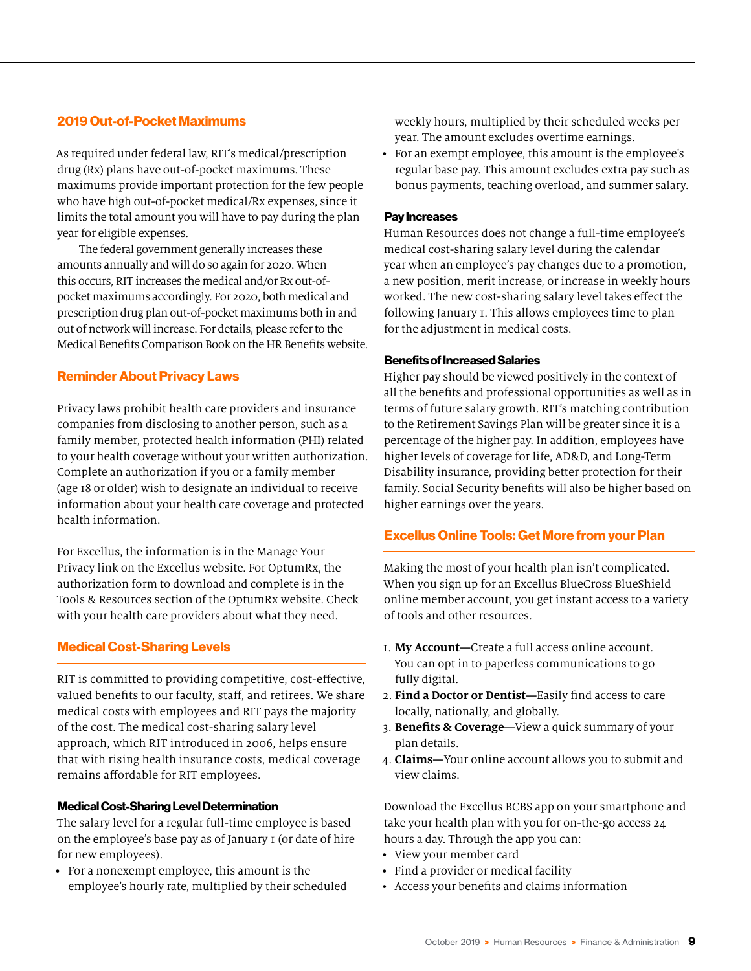#### 2019 Out-of-Pocket Maximums

As required under federal law, RIT's medical/prescription drug (Rx) plans have out-of-pocket maximums. These maximums provide important protection for the few people who have high out-of-pocket medical/Rx expenses, since it limits the total amount you will have to pay during the plan year for eligible expenses.

The federal government generally increases these amounts annually and will do so again for 2020. When this occurs, RIT increases the medical and/or Rx out-ofpocket maximums accordingly. For 2020, both medical and prescription drug plan out-of-pocket maximums both in and out of network will increase. For details, please refer to the Medical Benefits Comparison Book on the HR Benefits website.

#### Reminder About Privacy Laws

Privacy laws prohibit health care providers and insurance companies from disclosing to another person, such as a family member, protected health information (PHI) related to your health coverage without your written authorization. Complete an authorization if you or a family member (age 18 or older) wish to designate an individual to receive information about your health care coverage and protected health information.

For Excellus, the information is in the Manage Your Privacy link on the Excellus website. For OptumRx, the authorization form to download and complete is in the Tools & Resources section of the OptumRx website. Check with your health care providers about what they need.

#### Medical Cost-Sharing Levels

RIT is committed to providing competitive, cost-effective, valued benefits to our faculty, staff, and retirees. We share medical costs with employees and RIT pays the majority of the cost. The medical cost-sharing salary level approach, which RIT introduced in 2006, helps ensure that with rising health insurance costs, medical coverage remains affordable for RIT employees.

#### Medical Cost-Sharing Level Determination

The salary level for a regular full-time employee is based on the employee's base pay as of January 1 (or date of hire for new employees).

• For a nonexempt employee, this amount is the employee's hourly rate, multiplied by their scheduled weekly hours, multiplied by their scheduled weeks per year. The amount excludes overtime earnings.

• For an exempt employee, this amount is the employee's regular base pay. This amount excludes extra pay such as bonus payments, teaching overload, and summer salary.

#### Pay Increases

Human Resources does not change a full-time employee's medical cost-sharing salary level during the calendar year when an employee's pay changes due to a promotion, a new position, merit increase, or increase in weekly hours worked. The new cost-sharing salary level takes effect the following January 1. This allows employees time to plan for the adjustment in medical costs.

#### Benefits of Increased Salaries

Higher pay should be viewed positively in the context of all the benefits and professional opportunities as well as in terms of future salary growth. RIT's matching contribution to the Retirement Savings Plan will be greater since it is a percentage of the higher pay. In addition, employees have higher levels of coverage for life, AD&D, and Long-Term Disability insurance, providing better protection for their family. Social Security benefits will also be higher based on higher earnings over the years.

#### Excellus Online Tools: Get More from your Plan

Making the most of your health plan isn't complicated. When you sign up for an Excellus BlueCross BlueShield online member account, you get instant access to a variety of tools and other resources.

- 1. **My Account—**Create a full access online account. You can opt in to paperless communications to go fully digital.
- 2. **Find a Doctor or Dentist—**Easily find access to care locally, nationally, and globally.
- 3. **Benefits & Coverage—**View a quick summary of your plan details.
- 4. **Claims—**Your online account allows you to submit and view claims.

Download the Excellus BCBS app on your smartphone and take your health plan with you for on-the-go access 24 hours a day. Through the app you can:

- View your member card
- Find a provider or medical facility
- Access your benefits and claims information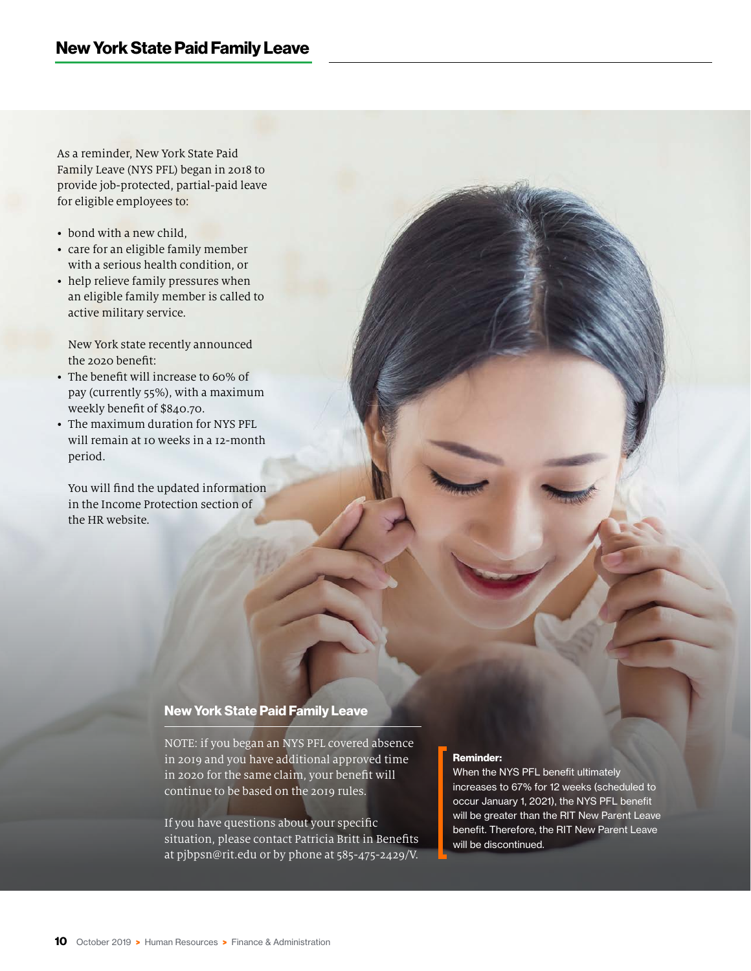As a reminder, New York State Paid Family Leave (NYS PFL) began in 2018 to provide job-protected, partial-paid leave for eligible employees to:

- bond with a new child,
- care for an eligible family member with a serious health condition, or
- help relieve family pressures when an eligible family member is called to active military service.

New York state recently announced the 2020 benefit:

- The benefit will increase to 60% of pay (currently 55%), with a maximum weekly benefit of \$840.70.
- The maximum duration for NYS PFL will remain at 10 weeks in a 12-month period.

You will find the updated information in the Income Protection section of the HR website.

#### New York State Paid Family Leave

NOTE: if you began an NYS PFL covered absence in 2019 and you have additional approved time in 2020 for the same claim, your benefit will continue to be based on the 2019 rules.

If you have questions about your specific situation, please contact Patricia Britt in Benefits at pjbpsn@rit.edu or by phone at 585-475-2429/V.

#### Reminder:

When the NYS PFL benefit ultimately increases to 67% for 12 weeks (scheduled to occur January 1, 2021), the NYS PFL benefit will be greater than the RIT New Parent Leave benefit. Therefore, the RIT New Parent Leave will be discontinued.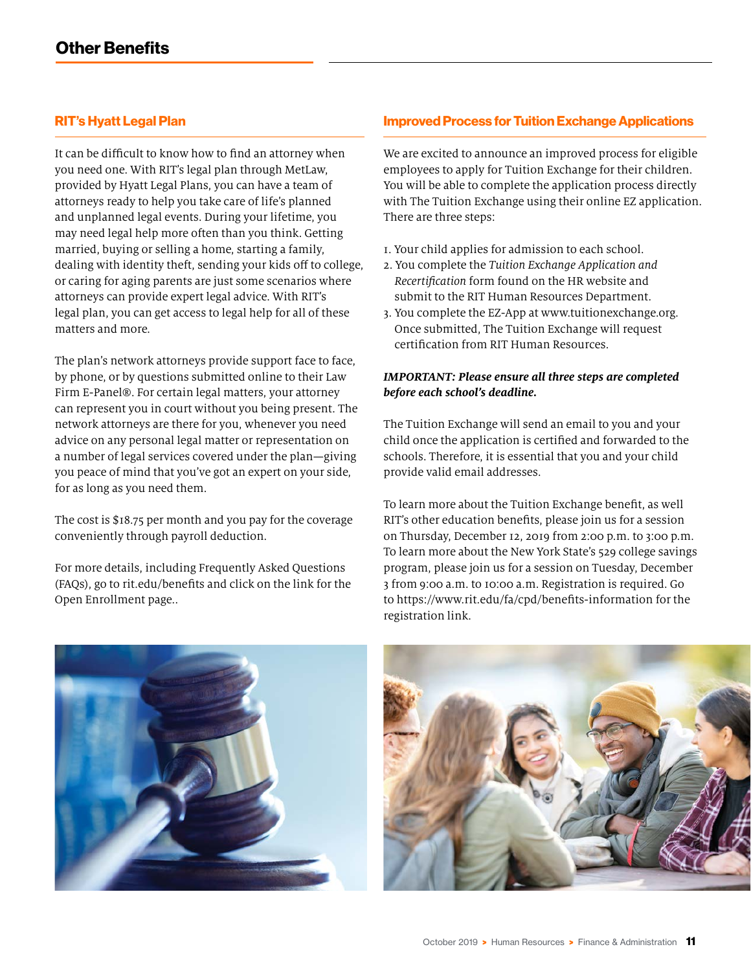#### RIT's Hyatt Legal Plan

It can be difficult to know how to find an attorney when you need one. With RIT's legal plan through MetLaw, provided by Hyatt Legal Plans, you can have a team of attorneys ready to help you take care of life's planned and unplanned legal events. During your lifetime, you may need legal help more often than you think. Getting married, buying or selling a home, starting a family, dealing with identity theft, sending your kids off to college, or caring for aging parents are just some scenarios where attorneys can provide expert legal advice. With RIT's legal plan, you can get access to legal help for all of these matters and more.

The plan's network attorneys provide support face to face, by phone, or by questions submitted online to their Law Firm E-Panel®. For certain legal matters, your attorney can represent you in court without you being present. The network attorneys are there for you, whenever you need advice on any personal legal matter or representation on a number of legal services covered under the plan—giving you peace of mind that you've got an expert on your side, for as long as you need them.

The cost is \$18.75 per month and you pay for the coverage conveniently through payroll deduction.

For more details, including Frequently Asked Questions (FAQs), go to rit.edu/benefits and click on the link for the Open Enrollment page..

#### Improved Process for Tuition Exchange Applications

We are excited to announce an improved process for eligible employees to apply for Tuition Exchange for their children. You will be able to complete the application process directly with The Tuition Exchange using their online EZ application. There are three steps:

- 1. Your child applies for admission to each school.
- 2. You complete the *Tuition Exchange Application and Recertification* form found on the HR website and submit to the RIT Human Resources Department.
- 3. You complete the EZ-App at [www.tuitionexchange.org.](http://www.tuitionexchange.org.) Once submitted, The Tuition Exchange will request certification from RIT Human Resources.

#### *IMPORTANT: Please ensure all three steps are completed before each school's deadline.*

The Tuition Exchange will send an email to you and your child once the application is certified and forwarded to the schools. Therefore, it is essential that you and your child provide valid email addresses.

To learn more about the Tuition Exchange benefit, as well RIT's other education benefits, please join us for a session on Thursday, December 12, 2019 from 2:00 p.m. to 3:00 p.m. To learn more about the New York State's 529 college savings program, please join us for a session on Tuesday, December 3 from 9:00 a.m. to 10:00 a.m. Registration is required. Go to<https://www.rit.edu/fa/cpd/benefits-information>for the registration link.



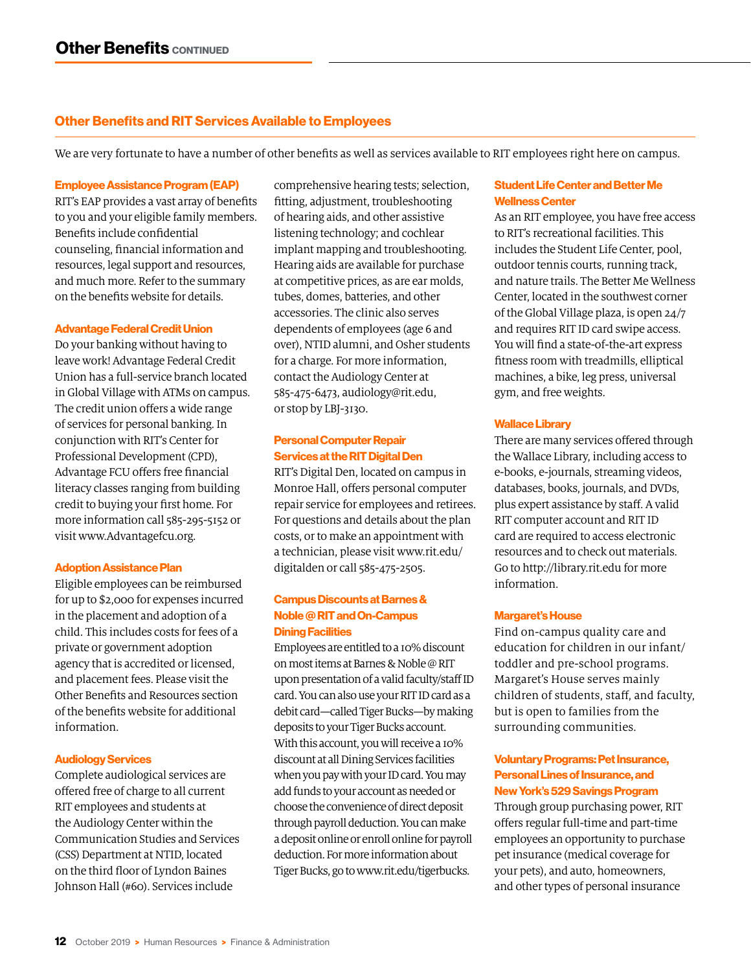#### Other Benefits and RIT Services Available to Employees

We are very fortunate to have a number of other benefits as well as services available to RIT employees right here on campus.

#### Employee Assistance Program (EAP)

RIT's EAP provides a vast array of benefits to you and your eligible family members. Benefits include confidential counseling, financial information and resources, legal support and resources, and much more. Refer to the summary on the benefits website for details.

#### Advantage Federal Credit Union

Do your banking without having to leave work! Advantage Federal Credit Union has a full-service branch located in Global Village with ATMs on campus. The credit union offers a wide range of services for personal banking. In conjunction with RIT's Center for Professional Development (CPD), Advantage FCU offers free financial literacy classes ranging from building credit to buying your first home. For more information call 585-295-5152 or visit www.Advantagefcu.org.

#### Adoption Assistance Plan

Eligible employees can be reimbursed for up to \$2,000 for expenses incurred in the placement and adoption of a child. This includes costs for fees of a private or government adoption agency that is accredited or licensed, and placement fees. Please visit the Other Benefits and Resources section of the benefits website for additional information.

#### Audiology Services

Complete audiological services are offered free of charge to all current RIT employees and students at the Audiology Center within the Communication Studies and Services (CSS) Department at NTID, located on the third floor of Lyndon Baines Johnson Hall (#60). Services include

comprehensive hearing tests; selection, fitting, adjustment, troubleshooting of hearing aids, and other assistive listening technology; and cochlear implant mapping and troubleshooting. Hearing aids are available for purchase at competitive prices, as are ear molds, tubes, domes, batteries, and other accessories. The clinic also serves dependents of employees (age 6 and over), NTID alumni, and Osher students for a charge. For more information, contact the Audiology Center at 585-475-6473, audiology@rit.edu, or stop by LBJ-3130.

#### Personal Computer Repair Services at the RIT Digital Den

RIT's Digital Den, located on campus in Monroe Hall, offers personal computer repair service for employees and retirees. For questions and details about the plan costs, or to make an appointment with a technician, please visit www.rit.edu/ digitalden or call 585-475-2505.

#### Campus Discounts at Barnes & Noble @ RIT and On-Campus Dining Facilities

Employees are entitled to a 10% discount on most items at Barnes & Noble @ RIT upon presentation of a valid faculty/staff ID card. You can also use your RIT ID card as a debit card—called Tiger Bucks—by making deposits to your Tiger Bucks account. With this account, you will receive a 10% discount at all Dining Services facilities when you pay with your ID card. You may add funds to your account as needed or choose the convenience of direct deposit through payroll deduction. You can make a deposit online or enroll online for payroll deduction. For more information about Tiger Bucks, go to www.rit.edu/tigerbucks.

#### Student Life Center and Better Me Wellness Center

As an RIT employee, you have free access to RIT's recreational facilities. This includes the Student Life Center, pool, outdoor tennis courts, running track, and nature trails. The Better Me Wellness Center, located in the southwest corner of the Global Village plaza, is open 24/7 and requires RIT ID card swipe access. You will find a state-of-the-art express fitness room with treadmills, elliptical machines, a bike, leg press, universal gym, and free weights.

#### Wallace Library

There are many services offered through the Wallace Library, including access to e-books, e-journals, streaming videos, databases, books, journals, and DVDs, plus expert assistance by staff. A valid RIT computer account and RIT ID card are required to access electronic resources and to check out materials. Go to http://library.rit.edu for more information.

#### Margaret's House

Find on-campus quality care and education for children in our infant/ toddler and pre-school programs. Margaret's House serves mainly children of students, staff, and faculty, but is open to families from the surrounding communities.

#### Voluntary Programs: Pet Insurance, Personal Lines of Insurance, and New York's 529 Savings Program

Through group purchasing power, RIT offers regular full-time and part-time employees an opportunity to purchase pet insurance (medical coverage for your pets), and auto, homeowners, and other types of personal insurance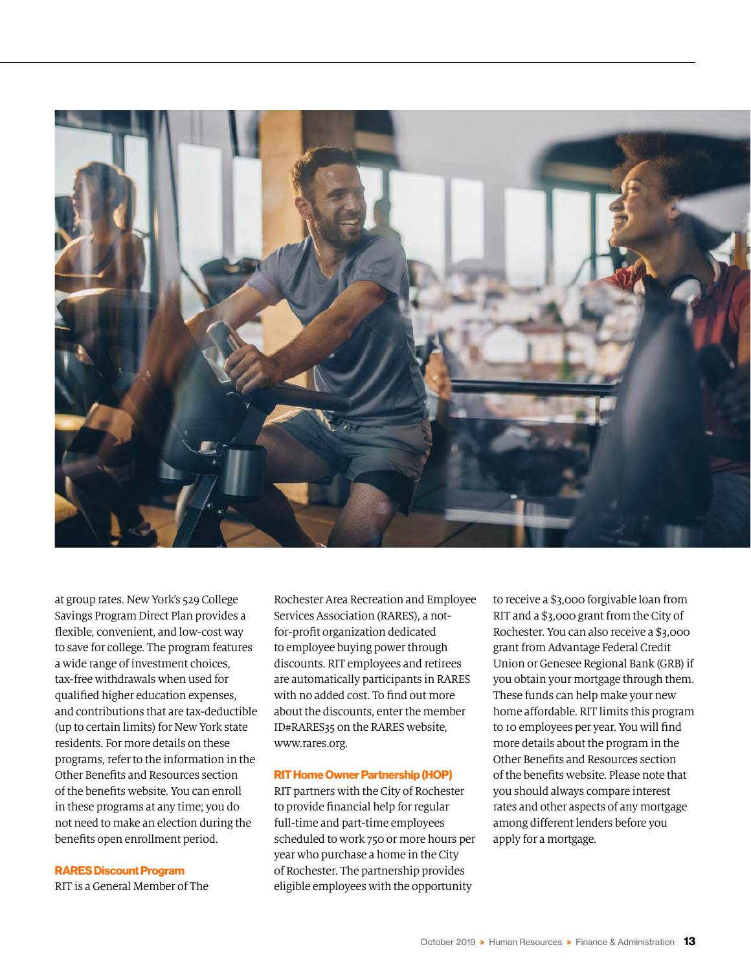

at group rates. New York's 529 College Savings Program Direct Plan provides a flexible, convenient, and low-cost way to save for college. The program features a wide range of investment choices, tax-free withdrawals when used for qualified higher education expenses, and contributions that are tax-deductible (up to certain limits) for New York state residents. For more details on these programs, refer to the information in the Other Benefits and Resources section of the benefits website. You can enroll in these programs at any time; you do not need to make an election during the benefits open enrollment period.

#### RARES Discount Program

RIT is a General Member of The

Rochester Area Recreation and Employee Services Association (RARES), a notfor-profit organization dedicated to employee buying power through discounts. RIT employees and retirees are automatically participants in RARES with no added cost. To find out more about the discounts, enter the member ID#RARES35 on the RARES website, www.rares.org.

#### RIT Home Owner Partnership (HOP)

RIT partners with the City of Rochester to provide financial help for regular full-time and part-time employees scheduled to work 750 or more hours per year who purchase a home in the City of Rochester. The partnership provides eligible employees with the opportunity

to receive a \$3,000 forgivable loan from RIT and a \$3,000 grant from the City of Rochester. You can also receive a \$3,000 grant from Advantage Federal Credit Union or Genesee Regional Bank (GRB) if you obtain your mortgage through them. These funds can help make your new home affordable. RIT limits this program to 10 employees per year. You will find more details about the program in the Other Benefits and Resources section of the benefits website. Please note that you should always compare interest rates and other aspects of any mortgage among different lenders before you apply for a mortgage.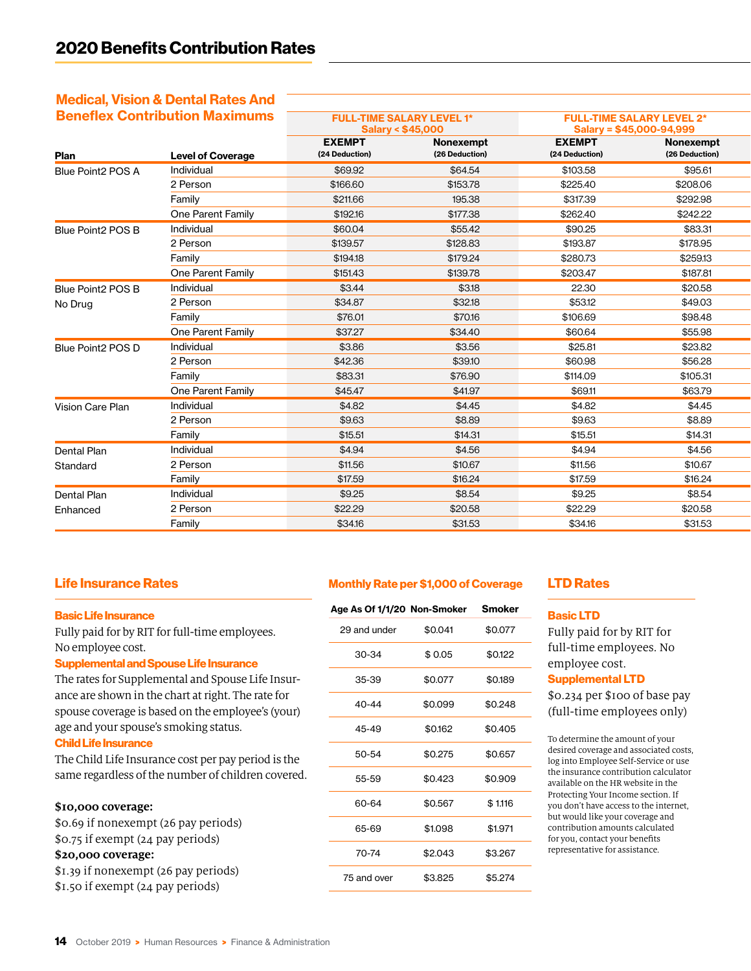### Medical, Vision & Dental Rates And

| <b>Beneflex Contribution Maximums</b> |                          | <b>FULL-TIME SALARY LEVEL 1*</b><br><b>Salary &lt; \$45,000</b> |                | <b>FULL-TIME SALARY LEVEL 2*</b><br>Salary = \$45,000-94,999 |                |
|---------------------------------------|--------------------------|-----------------------------------------------------------------|----------------|--------------------------------------------------------------|----------------|
|                                       |                          | <b>EXEMPT</b>                                                   | Nonexempt      | <b>EXEMPT</b>                                                | Nonexempt      |
| Plan                                  | <b>Level of Coverage</b> | (24 Deduction)                                                  | (26 Deduction) | (24 Deduction)                                               | (26 Deduction) |
| Blue Point2 POS A                     | Individual               | \$69.92                                                         | \$64.54        | \$103.58                                                     | \$95.61        |
|                                       | 2 Person                 | \$166.60                                                        | \$153.78       | \$225.40                                                     | \$208.06       |
|                                       | Family                   | \$211.66                                                        | 195.38         | \$317.39                                                     | \$292.98       |
|                                       | One Parent Family        | \$192.16                                                        | \$177.38       | \$262.40                                                     | \$242.22       |
| Blue Point2 POS B                     | Individual               | \$60.04                                                         | \$55.42        | \$90.25                                                      | \$83.31        |
|                                       | 2 Person                 | \$139.57                                                        | \$128.83       | \$193.87                                                     | \$178.95       |
|                                       | Family                   | \$194.18                                                        | \$179.24       | \$280.73                                                     | \$259.13       |
|                                       | One Parent Family        | \$151.43                                                        | \$139.78       | \$203.47                                                     | \$187.81       |
| Blue Point2 POS B                     | Individual               | \$3.44                                                          | \$3.18         | 22.30                                                        | \$20.58        |
| No Drug                               | 2 Person                 | \$34.87                                                         | \$32.18        | \$53.12                                                      | \$49.03        |
|                                       | Family                   | \$76.01                                                         | \$70.16        | \$106.69                                                     | \$98.48        |
|                                       | One Parent Family        | \$37.27                                                         | \$34.40        | \$60.64                                                      | \$55.98        |
| Blue Point2 POS D                     | Individual               | \$3.86                                                          | \$3.56         | \$25.81                                                      | \$23.82        |
|                                       | 2 Person                 | \$42.36                                                         | \$39.10        | \$60.98                                                      | \$56.28        |
|                                       | Family                   | \$83.31                                                         | \$76.90        | \$114.09                                                     | \$105.31       |
|                                       | One Parent Family        | \$45.47                                                         | \$41.97        | \$69.11                                                      | \$63.79        |
| Vision Care Plan                      | Individual               | \$4.82                                                          | \$4.45         | \$4.82                                                       | \$4.45         |
|                                       | 2 Person                 | \$9.63                                                          | \$8.89         | \$9.63                                                       | \$8.89         |
|                                       | Family                   | \$15.51                                                         | \$14.31        | \$15.51                                                      | \$14.31        |
| Dental Plan                           | Individual               | \$4.94                                                          | \$4.56         | \$4.94                                                       | \$4.56         |
| Standard                              | 2 Person                 | \$11.56                                                         | \$10.67        | \$11.56                                                      | \$10.67        |
|                                       | Family                   | \$17.59                                                         | \$16.24        | \$17.59                                                      | \$16.24        |
| Dental Plan                           | Individual               | \$9.25                                                          | \$8.54         | \$9.25                                                       | \$8.54         |
| Enhanced                              | 2 Person                 | \$22.29                                                         | \$20.58        | \$22.29                                                      | \$20.58        |
|                                       | Family                   | \$34.16                                                         | \$31.53        | \$34.16                                                      | \$31.53        |

#### Life Insurance Rates

#### Basic Life Insurance

Fully paid for by RIT for full-time employees. No employee cost.

#### Supplemental and Spouse Life Insurance

The rates for Supplemental and Spouse Life Insurance are shown in the chart at right. The rate for spouse coverage is based on the employee's (your) age and your spouse's smoking status.

#### Child Life Insurance

The Child Life Insurance cost per pay period is the same regardless of the number of children covered.

#### **\$10,000 coverage:**

| \$0.69 if nonexempt (26 pay periods) |  |  |  |
|--------------------------------------|--|--|--|
| \$0.75 if exempt (24 pay periods)    |  |  |  |
| \$20,000 coverage:                   |  |  |  |
| \$1.39 if nonexempt (26 pay periods) |  |  |  |
| \$1.50 if exempt (24 pay periods)    |  |  |  |

#### Monthly Rate per \$1,000 of Coverage

| Age As Of 1/1/20 Non-Smoker |         | <b>Smoker</b> |
|-----------------------------|---------|---------------|
| 29 and under                | \$0.041 | \$0.077       |
| 30-34                       | \$0.05  | \$0.122       |
| 35-39                       | \$0.077 | \$0.189       |
| $40 - 44$                   | \$0.099 | \$0.248       |
| 45-49                       | \$0.162 | \$0.405       |
| 50-54                       | \$0.275 | \$0.657       |
| 55-59                       | \$0.423 | \$0.909       |
| 60-64                       | \$0.567 | \$1.116       |
| 65-69                       | \$1.098 | \$1.971       |
| 70-74                       | \$2.043 | \$3.267       |
| 75 and over                 | \$3.825 | \$5.274       |

#### LTD Rates

#### Basic LTD

Fully paid for by RIT for full-time employees. No employee cost.

#### Supplemental LTD

\$0.234 per \$100 of base pay (full-time employees only)

To determine the amount of your desired coverage and associated costs, log into Employee Self-Service or use the insurance contribution calculator available on the HR website in the Protecting Your Income section. If you don't have access to the internet, but would like your coverage and contribution amounts calculated for you, contact your benefits representative for assistance.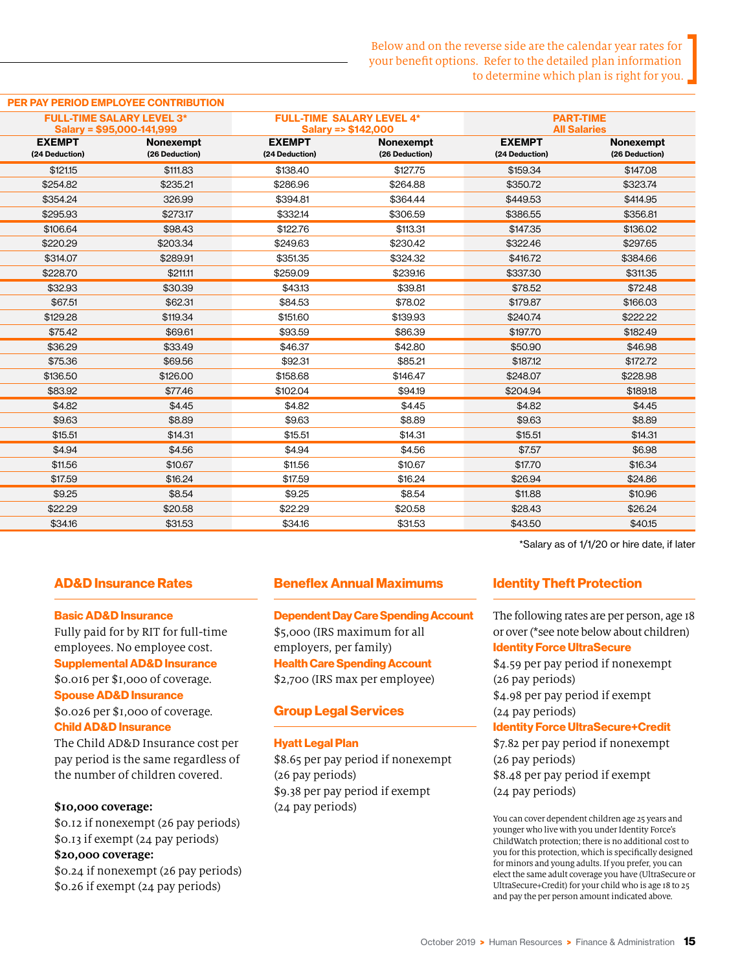#### PER PAY PERIOD EMPLOYEE CONTRIBUTION

|                                 | <b>FULL-TIME SALARY LEVEL 3*</b><br>Salary = \$95,000-141,999 |                                 | <b>FULL-TIME SALARY LEVEL 4*</b><br>Salary => \$142,000 | <b>PART-TIME</b><br><b>All Salaries</b> |                             |
|---------------------------------|---------------------------------------------------------------|---------------------------------|---------------------------------------------------------|-----------------------------------------|-----------------------------|
| <b>EXEMPT</b><br>(24 Deduction) | Nonexempt<br>(26 Deduction)                                   | <b>EXEMPT</b><br>(24 Deduction) | Nonexempt<br>(26 Deduction)                             | <b>EXEMPT</b><br>(24 Deduction)         | Nonexempt<br>(26 Deduction) |
| \$121.15                        | \$111.83                                                      | \$138.40                        | \$127.75                                                | \$159.34                                | \$147.08                    |
| \$254.82                        | \$235.21                                                      | \$286.96                        | \$264.88                                                | \$350.72                                | \$323.74                    |
| \$354.24                        | 326.99                                                        | \$394.81                        | \$364.44                                                | \$449.53                                | \$414.95                    |
| \$295.93                        | \$273.17                                                      | \$332.14                        | \$306.59                                                | \$386.55                                | \$356.81                    |
| \$106.64                        | \$98.43                                                       | \$122.76                        | \$113.31                                                | \$147.35                                | \$136.02                    |
| \$220.29                        | \$203.34                                                      | \$249.63                        | \$230.42                                                | \$322.46                                | \$297.65                    |
| \$314.07                        | \$289.91                                                      | \$351.35                        | \$324.32                                                | \$416.72                                | \$384.66                    |
| \$228.70                        | \$211.11                                                      | \$259.09                        | \$239.16                                                | \$337.30                                | \$311.35                    |
| \$32.93                         | \$30.39                                                       | \$43.13                         | \$39.81                                                 | \$78.52                                 | \$72.48                     |
| \$67.51                         | \$62.31                                                       | \$84.53                         | \$78.02                                                 | \$179.87                                | \$166.03                    |
| \$129.28                        | \$119.34                                                      | \$151.60                        | \$139.93                                                | \$240.74                                | \$222.22                    |
| \$75.42                         | \$69.61                                                       | \$93.59                         | \$86.39                                                 | \$197.70                                | \$182.49                    |
| \$36.29                         | \$33.49                                                       | \$46.37                         | \$42.80                                                 | \$50.90                                 | \$46.98                     |
| \$75.36                         | \$69.56                                                       | \$92.31                         | \$85.21                                                 | \$187.12                                | \$172.72                    |
| \$136.50                        | \$126.00                                                      | \$158.68                        | \$146.47                                                | \$248.07                                | \$228.98                    |
| \$83.92                         | \$77.46                                                       | \$102.04                        | \$94.19                                                 | \$204.94                                | \$189.18                    |
| \$4.82                          | \$4.45                                                        | \$4.82                          | \$4.45                                                  | \$4.82                                  | \$4.45                      |
| \$9.63                          | \$8.89                                                        | \$9.63                          | \$8.89                                                  | \$9.63                                  | \$8.89                      |
| \$15.51                         | \$14.31                                                       | \$15.51                         | \$14.31                                                 | \$15.51                                 | \$14.31                     |
| \$4.94                          | \$4.56                                                        | \$4.94                          | \$4.56                                                  | \$7.57                                  | \$6.98                      |
| \$11.56                         | \$10.67                                                       | \$11.56                         | \$10.67                                                 | \$17.70                                 | \$16.34                     |
| \$17.59                         | \$16.24                                                       | \$17.59                         | \$16.24                                                 | \$26.94                                 | \$24.86                     |
| \$9.25                          | \$8.54                                                        | \$9.25                          | \$8.54                                                  | \$11.88                                 | \$10.96                     |
| \$22.29                         | \$20.58                                                       | \$22.29                         | \$20.58                                                 | \$28.43                                 | \$26.24                     |
| \$34.16                         | \$31.53                                                       | \$34.16                         | \$31.53                                                 | \$43.50                                 | \$40.15                     |

#### AD&D Insurance Rates

#### Basic AD&D Insurance

Fully paid for by RIT for full-time employees. No employee cost. Supplemental AD&D Insurance \$0.016 per \$1,000 of coverage. Spouse AD&D Insurance \$0.026 per \$1,000 of coverage. Child AD&D Insurance

The Child AD&D Insurance cost per pay period is the same regardless of the number of children covered.

#### **\$10,000 coverage:**

\$0.12 if nonexempt (26 pay periods) \$0.13 if exempt (24 pay periods) **\$20,000 coverage:** \$0.24 if nonexempt (26 pay periods) \$0.26 if exempt (24 pay periods)

#### Beneflex Annual Maximums

Dependent Day Care Spending Account \$5,000 (IRS maximum for all

employers, per family) Health Care Spending Account \$2,700 (IRS max per employee)

#### Group Legal Services

#### Hyatt Legal Plan

\$8.65 per pay period if nonexempt (26 pay periods) \$9.38 per pay period if exempt (24 pay periods)

\*Salary as of 1/1/20 or hire date, if later

#### Identity Theft Protection

The following rates are per person, age 18 or over (\*see note below about children)

#### Identity Force UltraSecure

\$4.59 per pay period if nonexempt (26 pay periods) \$4.98 per pay period if exempt (24 pay periods)

#### Identity Force UltraSecure+Credit

\$7.82 per pay period if nonexempt (26 pay periods) \$8.48 per pay period if exempt (24 pay periods)

You can cover dependent children age 25 years and younger who live with you under Identity Force's ChildWatch protection; there is no additional cost to you for this protection, which is specifically designed for minors and young adults. If you prefer, you can elect the same adult coverage you have (UltraSecure or UltraSecure+Credit) for your child who is age 18 to 25 and pay the per person amount indicated above.